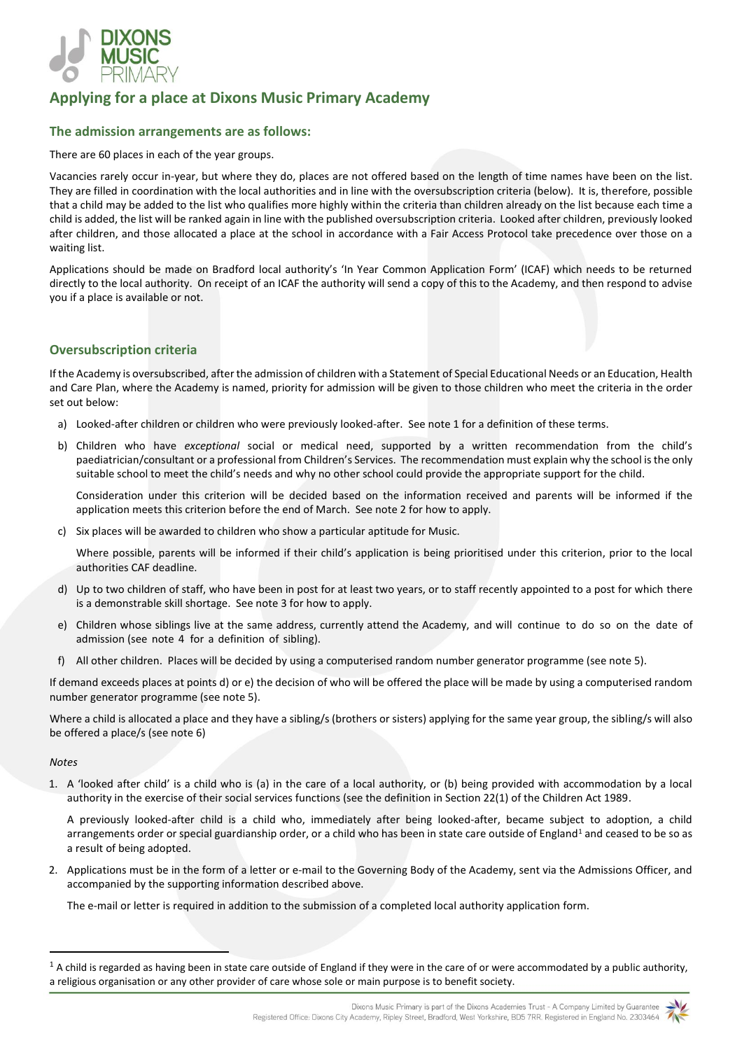

# **Applying for a place at Dixons Music Primary Academy**

# **The admission arrangements are as follows:**

There are 60 places in each of the year groups.

Vacancies rarely occur in-year, but where they do, places are not offered based on the length of time names have been on the list. They are filled in coordination with the local authorities and in line with the oversubscription criteria (below). It is, therefore, possible that a child may be added to the list who qualifies more highly within the criteria than children already on the list because each time a child is added, the list will be ranked again in line with the published oversubscription criteria. Looked after children, previously looked after children, and those allocated a place at the school in accordance with a Fair Access Protocol take precedence over those on a waiting list.

Applications should be made on Bradford local authority's 'In Year Common Application Form' (ICAF) which needs to be returned directly to the local authority. On receipt of an ICAF the authority will send a copy of this to the Academy, and then respond to advise you if a place is available or not.

## **Oversubscription criteria**

If the Academy is oversubscribed, after the admission of children with a Statement of Special Educational Needs or an Education, Health and Care Plan, where the Academy is named, priority for admission will be given to those children who meet the criteria in the order set out below:

- a) Looked-after children or children who were previously looked-after. See note 1 for a definition of these terms.
- b) Children who have *exceptional* social or medical need, supported by a written recommendation from the child's paediatrician/consultant or a professional from Children's Services. The recommendation must explain why the school is the only suitable school to meet the child's needs and why no other school could provide the appropriate support for the child.

Consideration under this criterion will be decided based on the information received and parents will be informed if the application meets this criterion before the end of March. See note 2 for how to apply.

c) Six places will be awarded to children who show a particular aptitude for Music.

Where possible, parents will be informed if their child's application is being prioritised under this criterion, prior to the local authorities CAF deadline.

- d) Up to two children of staff, who have been in post for at least two years, or to staff recently appointed to a post for which there is a demonstrable skill shortage. See note 3 for how to apply.
- e) Children whose siblings live at the same address, currently attend the Academy, and will continue to do so on the date of admission (see note 4 for a definition of sibling).
- f) All other children. Places will be decided by using a computerised random number generator programme (see note 5).

If demand exceeds places at points d) or e) the decision of who will be offered the place will be made by using a computerised random number generator programme (see note 5).

Where a child is allocated a place and they have a sibling/s (brothers or sisters) applying for the same year group, the sibling/s will also be offered a place/s (see note 6)

#### *Notes*

1. A 'looked after child' is a child who is (a) in the care of a local authority, or (b) being provided with accommodation by a local authority in the exercise of their social services functions (see the definition in Section 22(1) of the Children Act 1989.

A previously looked-after child is a child who, immediately after being looked-after, became subject to adoption, a child arrangements order or special guardianship order, or a child who has been in state care outside of England<sup>1</sup> and ceased to be so as a result of being adopted.

2. Applications must be in the form of a letter or e-mail to the Governing Body of the Academy, sent via the Admissions Officer, and accompanied by the supporting information described above.

The e-mail or letter is required in addition to the submission of a completed local authority application form.



 $1$  A child is regarded as having been in state care outside of England if they were in the care of or were accommodated by a public authority, a religious organisation or any other provider of care whose sole or main purpose is to benefit society.